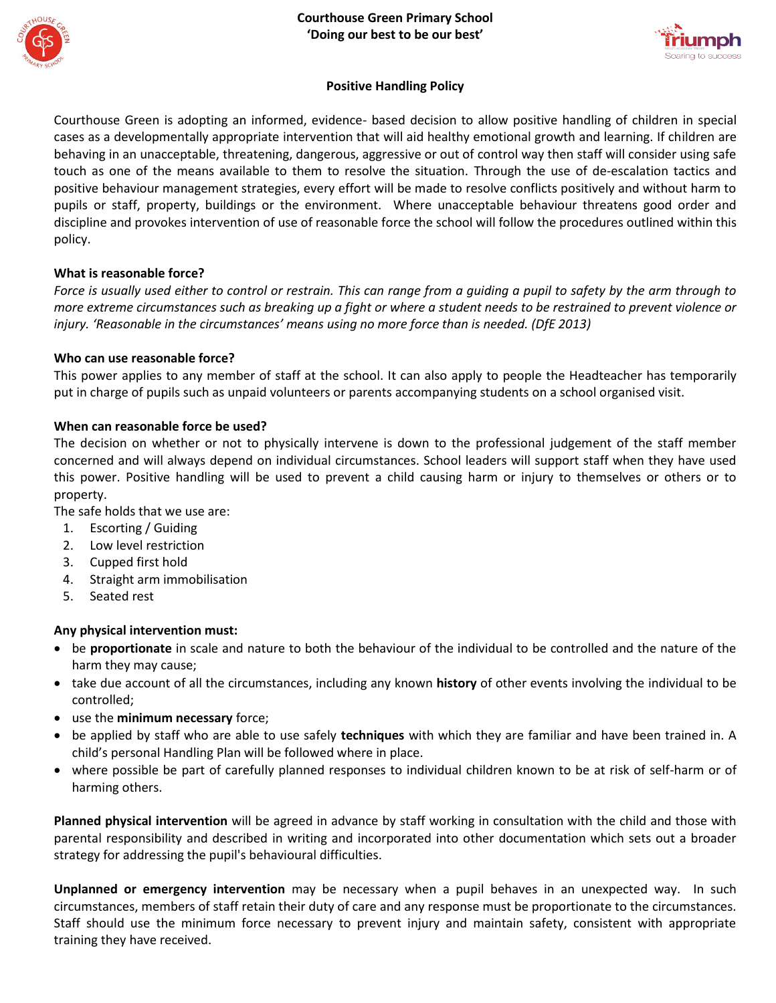



### **Positive Handling Policy**

Courthouse Green is adopting an informed, evidence- based decision to allow positive handling of children in special cases as a developmentally appropriate intervention that will aid healthy emotional growth and learning. If children are behaving in an unacceptable, threatening, dangerous, aggressive or out of control way then staff will consider using safe touch as one of the means available to them to resolve the situation. Through the use of de-escalation tactics and positive behaviour management strategies, every effort will be made to resolve conflicts positively and without harm to pupils or staff, property, buildings or the environment. Where unacceptable behaviour threatens good order and discipline and provokes intervention of use of reasonable force the school will follow the procedures outlined within this policy.

### **What is reasonable force?**

*Force is usually used either to control or restrain. This can range from a guiding a pupil to safety by the arm through to more extreme circumstances such as breaking up a fight or where a student needs to be restrained to prevent violence or injury. 'Reasonable in the circumstances' means using no more force than is needed. (DfE 2013)*

#### **Who can use reasonable force?**

This power applies to any member of staff at the school. It can also apply to people the Headteacher has temporarily put in charge of pupils such as unpaid volunteers or parents accompanying students on a school organised visit.

#### **When can reasonable force be used?**

The decision on whether or not to physically intervene is down to the professional judgement of the staff member concerned and will always depend on individual circumstances. School leaders will support staff when they have used this power. Positive handling will be used to prevent a child causing harm or injury to themselves or others or to property.

The safe holds that we use are:

- 1. Escorting / Guiding
- 2. Low level restriction
- 3. Cupped first hold
- 4. Straight arm immobilisation
- 5. Seated rest

### **Any physical intervention must:**

- be **proportionate** in scale and nature to both the behaviour of the individual to be controlled and the nature of the harm they may cause;
- take due account of all the circumstances, including any known **history** of other events involving the individual to be controlled;
- use the **minimum necessary** force;
- be applied by staff who are able to use safely **techniques** with which they are familiar and have been trained in. A child's personal Handling Plan will be followed where in place.
- where possible be part of carefully planned responses to individual children known to be at risk of self-harm or of harming others.

**Planned physical intervention** will be agreed in advance by staff working in consultation with the child and those with parental responsibility and described in writing and incorporated into other documentation which sets out a broader strategy for addressing the pupil's behavioural difficulties.

**Unplanned or emergency intervention** may be necessary when a pupil behaves in an unexpected way. In such circumstances, members of staff retain their duty of care and any response must be proportionate to the circumstances. Staff should use the minimum force necessary to prevent injury and maintain safety, consistent with appropriate training they have received.